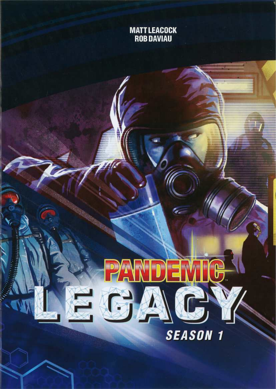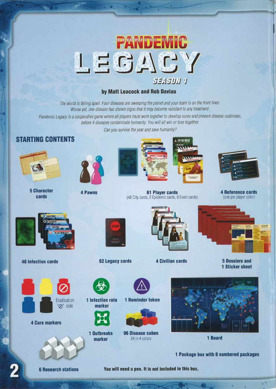

#### by Matt Leacock and Rob Daviau

The world is falling apart. Four diseases are sweeping the planet and your team is on the front lines. Worse yet, one disease has shown signs that it may become resistant to any treatment.

Pandemic Legacy is a cooperative game where all players must work together to develop cures and prevent disease outbreaks, before 4 diseases contaminate humanity. You will all win or lose together.

Can you survive the year and save humanity?

## **STARTING CONTENTS**



cards



**5 Character** 



**4 Pawns** 



**A EPIDEMIC** 



**4 Reference cards** (one per player color)



**48 Infection cards** 



**4 Cure markers** 



**62 Legacy cards** 

1 Infection rate

marker

1 Outbreaks

marker



**61 Player cards** 

**4 Civilian cards** 



**5 Dossiers and 1 Sticker sheet** 





**96 Disease cubes** 24 in 4 colors



1 Board

1 Package box with 8 numbered packages

**6 Research stations** 

You will need a pen. It is not included in this box.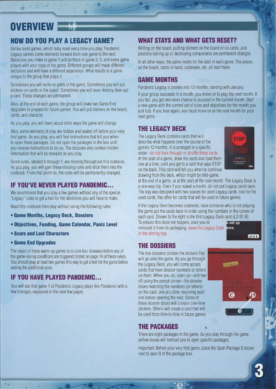# OVERVIEW

# HOW DO YOU PLAY A LEGACY GAME?

Unlike most games, which fully reset every time you play, Pandemic Legacy carries some elements forward from one game to the next. Decisions you make in game 1 will be there in game 2, 3, and every game played with your copy of the game. Different groups will make different decisions and will have a different experience. What results is a game unique to the group that plays it.

Sometimes you will write on parts of the game. Sometimes you will put stickers on cards or the board. Sometimes you will even destroy (tear up) a card. These changes are permanent.

Also, at the end of each game, the group will make two Game End Upgrades to prepare for future games. You will put stickers on the board, cards, and character.

As you play, you will learn about other ways the game will change.

Also, some elements of play are hidden and sealed off before your very first game. As you play, you will find instructions that tell you when to open these packages. Do not open the packages in the box until you receive instructions to do so. The dossiers also contain hidden information that will be revealed as you play.

Some rules, labeled A through Y, are missing throughout this rulebook. As you play, you will gain these missing rules and stick them into the rulebook. From that point on, the rules will be permanently changed.

#### IF YOU'VE NEVER PLAYED PANDEMIC...

We recommend that you play a few games without any of the special "Legacy" rules to get a feel for the decisions you will have to make.

Read this rulebook then play without using the following rules:

- •Game Months, Legacy Deck, Dossiers
- •Objectives, Funding, Game Calendar, Panic Level
- •Scars and Lost Characters
- •Game End Upgrades

The object of these warm-up games is to cure four diseases before any of the game-losing conditions are triggered (noted on page 14 of these rules). You should play at least two games this way to get a feel for the game before adding the additional rules.

#### IF YOU HAVE PLAYED PANDEMIC...

You will see that game 1 of Pandemic Legacy plays like Pandemic with a few changes, explained in the next few pages.

## WHAT STAYS AND WHAT GETS RESET?

Writing on the board, putting stickers on the board or on cards, and possibly tearing up or destroying components are permanent changes.

In all other ways, the game resets for the start of each game. The pieces on the board, cards in hand, outbreaks, etc. all start fresh.

#### GAME MONTHS

Pandemic Legacy is broken into 12 months, starting with January.

If your group succeeds in a month, you move on to play the next month. If you fail, you get one more chance to succeed in the current month. Start anew game with the current set of rules and objectives for the month you just lost. If you lose again, you must move on to the next month for your next game.

#### THE LEGACY DECK

The Legacy Deck contains cards that will describe what happens over the course of the game's 12 months. it is arranged in a specific order-do not look through or shuffle these cards. At the start of a game, draw the cards and read them one at a time, until you get to a card that says STOP on the back. This card will tell you when to continue drawing from the deck, which might be mid-game,



at the end of a game, or at the start of the next month. The Legacy Deck is a one-way trip. Even if you repeat a month, do not put Legacy cards back. The tray was designed with two spaces for used Legacy cards: one for the used cards, the other for cards that will be used in future games.

If the Legacy Deck becomes scattered, have someone who is not playing the game put the cards back in order using the numbers in the corner of each card. Shown to the right is the first Legacy Deck card (LD 01 B).

To ensure this does not happen, once you've<br>removed it from its packaging, leave the Legacy Deck<br>ame. removed it from its packaging, leave the Legacy Deck in the storing tray.  $\blacksquare$ 

## THE DOSSIERS

The five dossiers contain the stickers that will go onto the game. As you go through the Legacy Deck, you will come across cards that have dossier numbers or letters on them. When you do, open  $up$ –and tear off using the precut corner —the dossier doors matching the numbers (or letters) on the card, *one at a time*, resolving each one before opening the next. Some of these dossier doors will contain one-time stickers. Others will create a card that will be used from time to time in future games.



#### **THE PACKAGES**

There are eight packages in the game. As you play through the game, yellow boxes will instruct you to open specific packages.

Important: Before your very first game, place the Open Package 8 sticker next to door 8 of the package box.

s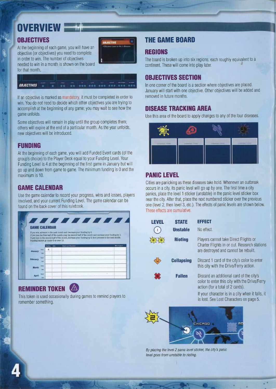# OVERVIET

## **OBJECTIVES**

At the beginning of each game, you will have an objective (or objectives) you need to complete in order to win. The number of objectives needed to win in a month is shown on the board for that month.



**OBJECTIVES** 

If an objective is marked as mandatory, it must be completed in order to win. You do not need to decide which other objectives you are trying to accomplish at the beginning of any game; you may wait to see how the game unfolds.

Some objectives will remain in play until the group completes them: others will expire at the end of a particular month. As the year unfolds, new objectives will be introduced.

#### **FUNDING**

At the beginning of each game, you will add Funded Event cards (of the group's choice) to the Player Deck equal to your Funding Level. Your Funding Level is 4 at the beginning of the first game in January but will go up and down from game to game. The minimum funding is 0 and the maximum is 10.

#### **GAME CALENDAR**

Use the game calendar to record your progress, wins and losses, players involved, and your current Funding Level. The game calendar can be found on the back cover of this rulebook.

|                                       |              |                  | <i></i>                                                                                                                                                                                                                                                                                                |              |
|---------------------------------------|--------------|------------------|--------------------------------------------------------------------------------------------------------------------------------------------------------------------------------------------------------------------------------------------------------------------------------------------------------|--------------|
| <b>GAME CALENDAR</b>                  |              |                  |                                                                                                                                                                                                                                                                                                        |              |
| Funding cannot go under 0 or over 10. |              |                  | If you win, advance to the next month and <i>decrease</i> your funding by 2.<br>If you lose the first half of the month, play the second half of the month and increase your funding by 2.<br>If you lose in the second half of the month, increase your funding by 2, then proceed to the next month. |              |
|                                       |              | Date:<br>Pandina | Plannis and Charalinis                                                                                                                                                                                                                                                                                 | White Lose ? |
|                                       |              |                  |                                                                                                                                                                                                                                                                                                        |              |
|                                       | Barly        | $\overline{4}$   |                                                                                                                                                                                                                                                                                                        |              |
| <b>January</b>                        | Late         |                  |                                                                                                                                                                                                                                                                                                        |              |
|                                       | Barly        |                  |                                                                                                                                                                                                                                                                                                        |              |
| <b>February</b>                       | Late         |                  |                                                                                                                                                                                                                                                                                                        |              |
|                                       | <b>Bariv</b> |                  |                                                                                                                                                                                                                                                                                                        |              |
| <b>March</b>                          | Late         |                  |                                                                                                                                                                                                                                                                                                        |              |
|                                       | Early        |                  |                                                                                                                                                                                                                                                                                                        |              |

## **REMINDER TOKEN**

This token is used occasionally during games to remind players to remember something.

# **THE GAME BOARD**

#### **REGIONS**

The board is broken up into six regions, each roughly equivalent to a continent. These will come into play later.

#### **OBJECTIVES SECTION**

In one corner of the board is a section where objectives are placed. January will start with one objective. Other objectives will be added and removed in future months.

#### **DISEASE TRACKING AREA**

Use this area of the board to apply changes to any of the four diseases.



## **PANIC LEVEL**

Cities are panicking as these diseases take hold. Whenever an outbreak occurs in a city, its panic level will go up by one. The first time a city panics, place the level 1 sticker (unstable) in the panic level sticker box near the city. After that, place the next numbered sticker over the previous one (level 2, then level 3, etc.). The effects of panic levels are shown below. These effects are cumulative.

| LEVEL | <b>STATE</b>      | <b>EFFECT</b>                                                                                                                 |  |
|-------|-------------------|-------------------------------------------------------------------------------------------------------------------------------|--|
|       | <b>Unstable</b>   | No effect.                                                                                                                    |  |
|       | <b>Rioting</b>    | Players cannot take Direct Flights or<br>Charter Flights in or out. Research stations<br>are destroyed and cannot be rebuilt. |  |
|       | <b>Collapsing</b> | Discard 1 card of the city's color to enter<br>this city with the Drive/Ferry action.                                         |  |
|       | <b>Fallen</b>     | Discard an additional card of the city's<br>color to enter this city with the Drive/Ferry<br>action (for a total of 2 cards). |  |
|       |                   | If your character is in a city when it falls, it<br>is lost. See Lost Characters on page 5.                                   |  |



By placing the level 2 panic level sticker, the city's panic level goes from unstable to rioting.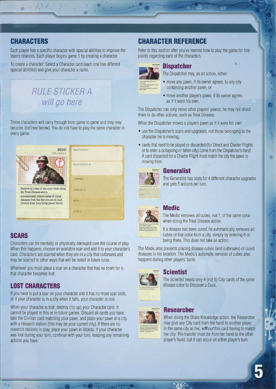# **CHARACTERS**

n,~ . ... \_..,

Each player has a specific character with special abilities to improve the team's chances. Each player begins game 1 by creating a character.

To create a character: Select a Character card (each one has different special abilities) and give your character a name.

# RULE STICKER A will go here

These characters will carry through from game to game and they may become /ost(see below). You do not have to play the same character in every game.



•Automatically remove cubes of cured diseases from the city you are in (and prevent them from being placed there).



## SCARS

 $\bullet$  .

Characters can be mentally or physically damaged over the course of play. When this happens, choose an available scar and add it to your character's card. Characters are scarred when they are in a city that outbreaks and may be scarred in other ways that will be noted in future rules.

Whenever you must place a scar on a character that has no room for it, that character becomes lost.

#### LOST CHARACTERS

.. •

If you have to put a scar on your character and it has no more scar slots, or if your character is in a city when it falls, your character is lost.

When your character is lost, destroy (rip up) your Character card. It cannot be played in this or in future games. Discard all cards you have, take the Civilian card matching your pawn, and place your pawn in a city with a research station (this may be your current city). If there are no research stations in play, place your pawn in Atlanta. If your character was lost during your turn, continue with your turn, keeping any remaining actions you have.

# CHARACTER REFERENCE

Refer to this section after you've learned how to play the game for fine points regarding each of the characters.



#### **Dispatcher**

The Dispatcher may, as an action, either:

- move any pawn, if its owner agrees, to any city containing another pawn, or
- move another player's pawn, if its owner agrees, as if it were his own.

The Dispatcher can only move other players' pawns; he may not direct them to do other actions, such as Treat Disease.

When the Dispatcher moves a player's pawn as if it were his own:

- use the Dispatcher's scars and upgrades, not those belonging to the character he is moving,
- •cards that need to be played or discarded (for Direct and Charter Flights or to enter a collapsing or fallen city) come from the Dispatcher's hand. A card discarded for a Charter Flight must match the city the pawn is moving from.



#### **Generalist**

The Generalist has slots for 4 different character upgrades and gets 5 actions per turn.

# **Medic**

The Medic removes all cubes, not 1, of the same color when doing the Treat Disease action.

If a disease has been *cured*, he automatically removes all cubes of that color from a city, simply by entering it or being there. This does not take an action.

The Medic also prevents placing disease cubes (and outbreaks) of cured diseases in his location. The Medic's automatic removal of cubes also happens during other players' turns.



#### **Scientist**

The Scientist needs only 4 (not 5) City cards of the same disease color to Discover a Cure.



#### **Researcher**

When doing the Share Knowledge action, the Researcher may give any City card from her hand to another player in the same city as her, without this card having to match her city. The transfer must be from her hand to the other player's hand, but it can occur on either player's turn.